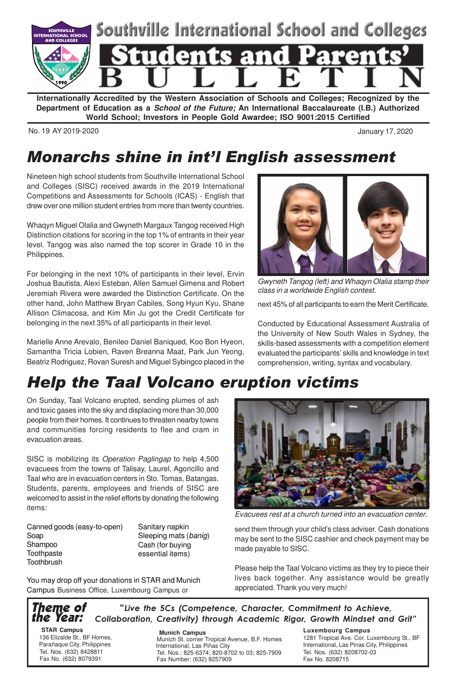

**Internationally Accredited by the Western Association of Schools and Colleges; Recognized by the Department of Education as a School of the Future; An International Baccalaureate (I.B.) Authorized World School; Investors in People Gold Awardee; ISO 9001:2015 Certified**

No. 19 AY 2019-2020 January 17, 2020

### Monarchs shine in int'l English assessment

Nineteen high school students from Southville International School and Colleges (SISC) received awards in the 2019 International Competitions and Assessments for Schools (ICAS) - English that drew over one million student entries from more than twenty countries.

Whaqyn Miguel Olalia and Gwyneth Margaux Tangog received High Distinction citations for scoring in the top 1% of entrants in their year level. Tangog was also named the top scorer in Grade 10 in the Philippines.

For belonging in the next 10% of participants in their level, Ervin Joshua Bautista, Alexi Esteban, Allen Samuel Gimena and Robert Jeremiah Rivera were awarded the Distinction Certificate. On the other hand, John Matthew Bryan Cabiles, Song Hyun Kyu, Shane Allison Climacosa, and Kim Min Ju got the Credit Certificate for belonging in the next 35% of all participants in their level.

Marielle Anne Arevalo, Benileo Daniel Baniqued, Koo Bon Hyeon, Samantha Tricia Lobien, Raven Breanna Maat, Park Jun Yeong, Beatriz Rodriguez, Rovan Suresh and Miguel Sybingco placed in the

Gwyneth Tangog (left) and Whaqyn Olalia stamp their class in a worldwide English contest.

next 45% of all participants to earn the Merit Certificate.

Conducted by Educational Assessment Australia of the University of New South Wales in Sydney, the skills-based assessments with a competition element evaluated the participants' skills and knowledge in text comprehension, writing, syntax and vocabulary.

## Help the Taal Volcano eruption victims

On Sunday, Taal Volcano erupted, sending plumes of ash and toxic gases into the sky and displacing more than 30,000 people from their homes. It continues to threaten nearby towns and communities forcing residents to flee and cram in evacuation areas.

SISC is mobilizing its Operation Paglingap to help 4,500 evacuees from the towns of Talisay, Laurel, Agoncillo and Taal who are in evacuation centers in Sto. Tomas, Batangas. Students, parents, employees and friends of SISC are welcomed to assist in the relief efforts by donating the following items:

Canned goods (easy-to-open) Soap Shampoo **Toothpaste Toothbrush** 

Sanitary napkin Sleeping mats (banig) Cash (for buying essential items)

You may drop off your donations in STAR and Munich Campus Business Office, Luxembourg Campus or



Evacuees rest at a church turned into an evacuation center.

send them through your child's class adviser. Cash donations may be sent to the SISC cashier and check payment may be made payable to SISC.

Please help the Taal Volcano victims as they try to piece their lives back together. Any assistance would be greatly appreciated. Thank you very much!

Theme of the Year: "Live the 5Cs (Competence, Character, Commitment to Achieve, Collaboration, Creativity) through Academic Rigor, Growth Mindset and Grit"

 **STAR Campus** 136 Elizalde St., BF Homes, Parañaque City, Philippines Tel. Nos. (632) 8428811 Fax No. (632) 8079391

 **Munich Campus** Munich St. corner Tropical Avenue, B.F. Homes International, Las Piñas City Tel. Nos.: 825-6374; 820-8702 to 03; 825-7909 Fax Number: (632) 8257909

**Luxembourg Campus**

1281 Tropical Ave. Cor. Luxembourg St., BF International, Las Pinas City, Philippines Tel. Nos. (632) 8208702-03 Fax No. 8208715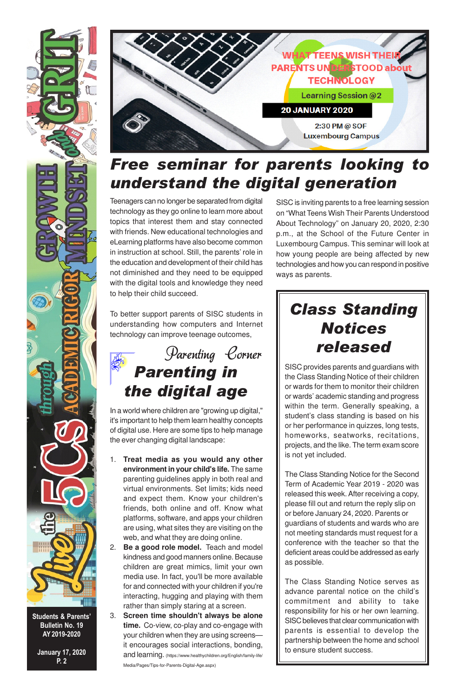

Students & Parents' Bulletin No. 19 AY 2019-2020

January 17, 2020 P. 2



### Free seminar for parents looking to understand the digital generation

Teenagers can no longer be separated from digital technology as they go online to learn more about topics that interest them and stay connected with friends. New educational technologies and eLearning platforms have also become common in instruction at school. Still, the parents' role in the education and development of their child has not diminished and they need to be equipped with the digital tools and knowledge they need to help their child succeed.

SISC is inviting parents to a free learning session on "What Teens Wish Their Parents Understood About Technology" on January 20, 2020, 2:30 p.m., at the School of the Future Center in Luxembourg Campus. This seminar will look at how young people are being affected by new technologies and how you can respond in positive ways as parents.

To better support parents of SISC students in understanding how computers and Internet technology can improve teenage outcomes,



In a world where children are "growing up digital," it's important to help them learn healthy concepts of digital use. Here are some tips to help manage the ever changing digital landscape:

- 1. **Treat media as you would any other environment in your child's life.** The same parenting guidelines apply in both real and virtual environments. Set limits; kids need and expect them. Know your children's friends, both online and off. Know what platforms, software, and apps your children are using, what sites they are visiting on the web, and what they are doing online.
- 2. **Be a good role model.** Teach and model kindness and good manners online. Because children are great mimics, limit your own media use. In fact, you'll be more available for and connected with your children if you're interacting, hugging and playing with them rather than simply staring at a screen.
- 3. **Screen time shouldn't always be alone time.** Co-view, co-play and co-engage with your children when they are using screens it encourages social interactions, bonding, and learning. (https://www.healthychildren.org/English/family-life/ Media/Pages/Tips-for-Parents-Digital-Age.aspx)

# Class Standing **Notices** released

SISC provides parents and guardians with the Class Standing Notice of their children or wards for them to monitor their children or wards' academic standing and progress within the term. Generally speaking, a student's class standing is based on his or her performance in quizzes, long tests, homeworks, seatworks, recitations, projects, and the like. The term exam score is not yet included.

The Class Standing Notice for the Second Term of Academic Year 2019 - 2020 was released this week. After receiving a copy, please fill out and return the reply slip on or before January 24, 2020. Parents or guardians of students and wards who are not meeting standards must request for a conference with the teacher so that the deficient areas could be addressed as early as possible.

The Class Standing Notice serves as advance parental notice on the child's commitment and ability to take responsibility for his or her own learning. SISC believes that clear communication with parents is essential to develop the partnership between the home and school to ensure student success.